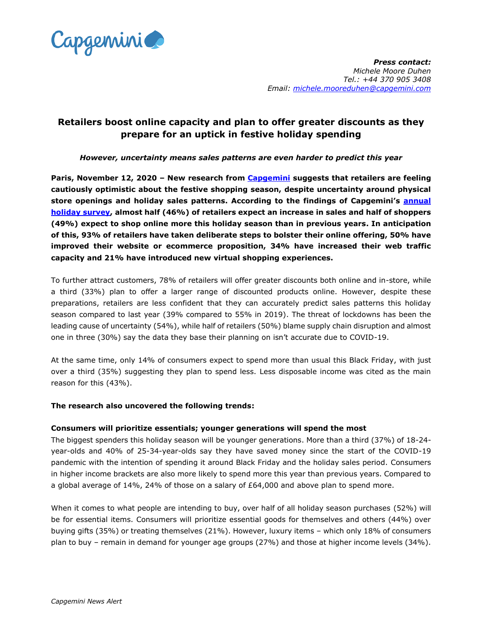

# **Retailers boost online capacity and plan to offer greater discounts as they prepare for an uptick in festive holiday spending**

## *However, uncertainty means sales patterns are even harder to predict this year*

**Paris, November 12, 2020 – New research from [Capgemini](https://www.capgemini.com/) suggests that retailers are feeling cautiously optimistic about the festive shopping season, despite uncertainty around physical store openings and holiday sales patterns. According to the findings of Capgemini's [annual](https://www.capgemini.com/resources/2020-holiday-shopping-research/?utm_source=pr&utm_medium=referral&utm_content=cprd_none_link_pressrelease_none&utm_campaign=CPRD_cgr_2020)  [holiday survey,](https://www.capgemini.com/resources/2020-holiday-shopping-research/?utm_source=pr&utm_medium=referral&utm_content=cprd_none_link_pressrelease_none&utm_campaign=CPRD_cgr_2020) almost half (46%) of retailers expect an increase in sales and half of shoppers (49%) expect to shop online more this holiday season than in previous years. In anticipation of this, 93% of retailers have taken deliberate steps to bolster their online offering, 50% have improved their website or ecommerce proposition, 34% have increased their web traffic capacity and 21% have introduced new virtual shopping experiences.**

To further attract customers, 78% of retailers will offer greater discounts both online and in-store, while a third (33%) plan to offer a larger range of discounted products online. However, despite these preparations, retailers are less confident that they can accurately predict sales patterns this holiday season compared to last year (39% compared to 55% in 2019). The threat of lockdowns has been the leading cause of uncertainty (54%), while half of retailers (50%) blame supply chain disruption and almost one in three (30%) say the data they base their planning on isn't accurate due to COVID-19.

At the same time, only 14% of consumers expect to spend more than usual this Black Friday, with just over a third (35%) suggesting they plan to spend less. Less disposable income was cited as the main reason for this (43%).

## **The research also uncovered the following trends:**

## **Consumers will prioritize essentials; younger generations will spend the most**

The biggest spenders this holiday season will be younger generations. More than a third (37%) of 18-24 year-olds and 40% of 25-34-year-olds say they have saved money since the start of the COVID-19 pandemic with the intention of spending it around Black Friday and the holiday sales period. Consumers in higher income brackets are also more likely to spend more this year than previous years. Compared to a global average of 14%, 24% of those on a salary of £64,000 and above plan to spend more.

When it comes to what people are intending to buy, over half of all holiday season purchases (52%) will be for essential items. Consumers will prioritize essential goods for themselves and others (44%) over buying gifts (35%) or treating themselves (21%). However, luxury items – which only 18% of consumers plan to buy – remain in demand for younger age groups (27%) and those at higher income levels (34%).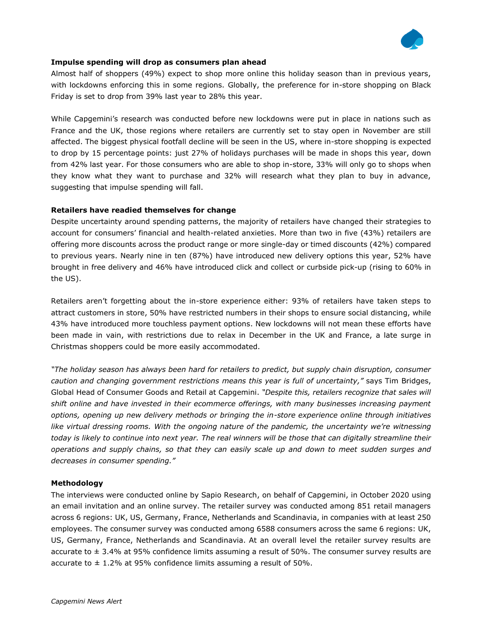

## **Impulse spending will drop as consumers plan ahead**

Almost half of shoppers (49%) expect to shop more online this holiday season than in previous years, with lockdowns enforcing this in some regions. Globally, the preference for in-store shopping on Black Friday is set to drop from 39% last year to 28% this year.

While Capgemini's research was conducted before new lockdowns were put in place in nations such as France and the UK, those regions where retailers are currently set to stay open in November are still affected. The biggest physical footfall decline will be seen in the US, where in-store shopping is expected to drop by 15 percentage points: just 27% of holidays purchases will be made in shops this year, down from 42% last year. For those consumers who are able to shop in-store, 33% will only go to shops when they know what they want to purchase and 32% will research what they plan to buy in advance, suggesting that impulse spending will fall.

#### **Retailers have readied themselves for change**

Despite uncertainty around spending patterns, the majority of retailers have changed their strategies to account for consumers' financial and health-related anxieties. More than two in five (43%) retailers are offering more discounts across the product range or more single-day or timed discounts (42%) compared to previous years. Nearly nine in ten (87%) have introduced new delivery options this year, 52% have brought in free delivery and 46% have introduced click and collect or curbside pick-up (rising to 60% in the US).

Retailers aren't forgetting about the in-store experience either: 93% of retailers have taken steps to attract customers in store, 50% have restricted numbers in their shops to ensure social distancing, while 43% have introduced more touchless payment options. New lockdowns will not mean these efforts have been made in vain, with restrictions due to relax in December in the UK and France, a late surge in Christmas shoppers could be more easily accommodated.

*"The holiday season has always been hard for retailers to predict, but supply chain disruption, consumer caution and changing government restrictions means this year is full of uncertainty,"* says Tim Bridges, Global Head of Consumer Goods and Retail at Capgemini. *"Despite this, retailers recognize that sales will shift online and have invested in their ecommerce offerings, with many businesses increasing payment options, opening up new delivery methods or bringing the in-store experience online through initiatives*  like virtual dressing rooms. With the ongoing nature of the pandemic, the uncertainty we're witnessing *today is likely to continue into next year. The real winners will be those that can digitally streamline their operations and supply chains, so that they can easily scale up and down to meet sudden surges and decreases in consumer spending."* 

#### **Methodology**

The interviews were conducted online by Sapio Research, on behalf of Capgemini, in October 2020 using an email invitation and an online survey. The retailer survey was conducted among 851 retail managers across 6 regions: UK, US, Germany, France, Netherlands and Scandinavia, in companies with at least 250 employees. The consumer survey was conducted among 6588 consumers across the same 6 regions: UK, US, Germany, France, Netherlands and Scandinavia. At an overall level the retailer survey results are accurate to  $\pm$  3.4% at 95% confidence limits assuming a result of 50%. The consumer survey results are accurate to  $\pm$  1.2% at 95% confidence limits assuming a result of 50%.